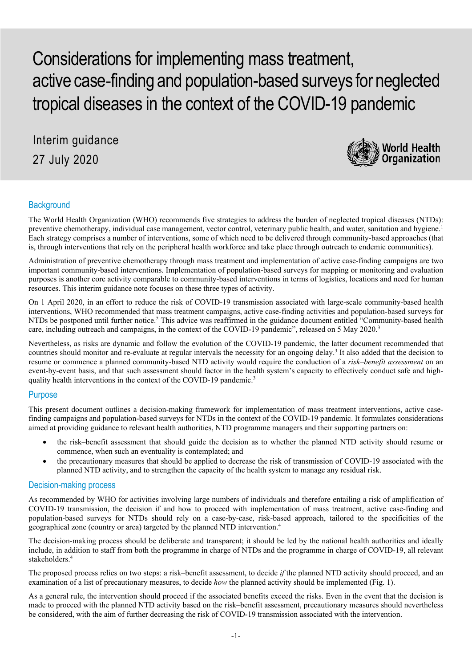Considerations for implementing mass treatment, active case-finding and population-based surveys for neglected tropical diseases in the context of the COVID-19 pandemic

Interim guidance 27 July 2020



# **Background**

The World Health Organization (WHO) recommends five strategies to address the burden of neglected tropical diseases (NTDs): preventive chemotherapy, individual case management, vector control, veterinary public health, and water, sanitation and hygiene.<sup>1</sup> Each strategy comprises a number of interventions, some of which need to be delivered through community-based approaches (that is, through interventions that rely on the peripheral health workforce and take place through outreach to endemic communities).

Administration of preventive chemotherapy through mass treatment and implementation of active case-finding campaigns are two important community-based interventions. Implementation of population-based surveys for mapping or monitoring and evaluation purposes is another core activity comparable to community-based interventions in terms of logistics, locations and need for human resources. This interim guidance note focuses on these three types of activity.

On 1 April 2020, in an effort to reduce the risk of COVID-19 transmission associated with large-scale community-based health interventions, WHO recommended that mass treatment campaigns, active case-finding activities and population-based surveys for NTDs be postponed until further notice.<sup>2</sup> This advice was reaffirmed in the guidance document entitled "Community-based health care, including outreach and campaigns, in the context of the COVID-19 pandemic", released on 5 May 2020.<sup>3</sup>

Nevertheless, as risks are dynamic and follow the evolution of the COVID-19 pandemic, the latter document recommended that countries should monitor and re-evaluate at regular intervals the necessity for an ongoing delay.<sup>3</sup> It also added that the decision to resume or commence a planned community-based NTD activity would require the conduction of a *risk–benefit assessment* on an event-by-event basis, and that such assessment should factor in the health system's capacity to effectively conduct safe and highquality health interventions in the context of the COVID-19 pandemic.<sup>3</sup>

# Purpose

This present document outlines a decision-making framework for implementation of mass treatment interventions, active casefinding campaigns and population-based surveys for NTDs in the context of the COVID-19 pandemic. It formulates considerations aimed at providing guidance to relevant health authorities, NTD programme managers and their supporting partners on:

- the risk–benefit assessment that should guide the decision as to whether the planned NTD activity should resume or commence, when such an eventuality is contemplated; and
- the precautionary measures that should be applied to decrease the risk of transmission of COVID-19 associated with the planned NTD activity, and to strengthen the capacity of the health system to manage any residual risk.

## Decision-making process

As recommended by WHO for activities involving large numbers of individuals and therefore entailing a risk of amplification of COVID-19 transmission, the decision if and how to proceed with implementation of mass treatment, active case-finding and population-based surveys for NTDs should rely on a case-by-case, risk-based approach, tailored to the specificities of the geographical zone (country or area) targeted by the planned NTD intervention. 4

The decision-making process should be deliberate and transparent; it should be led by the national health authorities and ideally include, in addition to staff from both the programme in charge of NTDs and the programme in charge of COVID-19, all relevant stakeholders.4

The proposed process relies on two steps: a risk–benefit assessment, to decide *if* the planned NTD activity should proceed, and an examination of a list of precautionary measures, to decide *how* the planned activity should be implemented (Fig. 1).

As a general rule, the intervention should proceed if the associated benefits exceed the risks. Even in the event that the decision is made to proceed with the planned NTD activity based on the risk–benefit assessment, precautionary measures should nevertheless be considered, with the aim of further decreasing the risk of COVID-19 transmission associated with the intervention.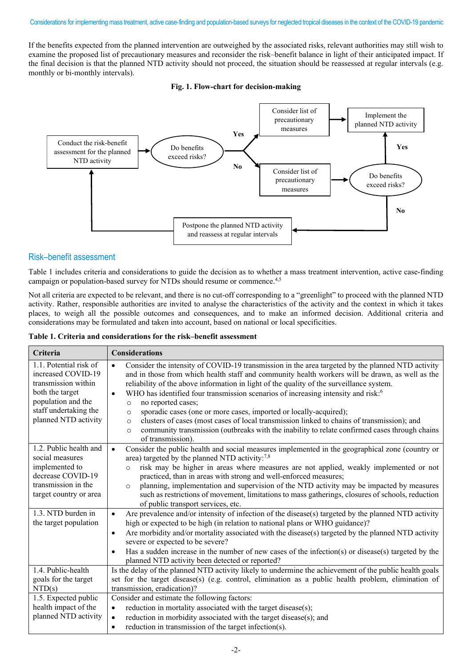#### Considerations for implementing mass treatment, active case‐finding and population-based surveys for neglected tropical diseases in the context of the COVID-19 pandemic

If the benefits expected from the planned intervention are outweighed by the associated risks, relevant authorities may still wish to examine the proposed list of precautionary measures and reconsider the risk–benefit balance in light of their anticipated impact. If the final decision is that the planned NTD activity should not proceed, the situation should be reassessed at regular intervals (e.g. monthly or bi-monthly intervals).

#### **Fig. 1. Flow-chart for decision-making**



## Risk–benefit assessment

Table 1 includes criteria and considerations to guide the decision as to whether a mass treatment intervention, active case-finding campaign or population-based survey for NTDs should resume or commence.<sup>4,5</sup>

Not all criteria are expected to be relevant, and there is no cut-off corresponding to a "greenlight" to proceed with the planned NTD activity. Rather, responsible authorities are invited to analyse the characteristics of the activity and the context in which it takes places, to weigh all the possible outcomes and consequences, and to make an informed decision. Additional criteria and considerations may be formulated and taken into account, based on national or local specificities.

**Table 1. Criteria and considerations for the risk–benefit assessment**

| Criteria                                                                                                                                                      | <b>Considerations</b>                                                                                                                                                                                                                                                                                                                                                                                                                                                                                                                                                                                                                                                                                                                                                                 |
|---------------------------------------------------------------------------------------------------------------------------------------------------------------|---------------------------------------------------------------------------------------------------------------------------------------------------------------------------------------------------------------------------------------------------------------------------------------------------------------------------------------------------------------------------------------------------------------------------------------------------------------------------------------------------------------------------------------------------------------------------------------------------------------------------------------------------------------------------------------------------------------------------------------------------------------------------------------|
| 1.1. Potential risk of<br>increased COVID-19<br>transmission within<br>both the target<br>population and the<br>staff undertaking the<br>planned NTD activity | Consider the intensity of COVID-19 transmission in the area targeted by the planned NTD activity<br>$\bullet$<br>and in those from which health staff and community health workers will be drawn, as well as the<br>reliability of the above information in light of the quality of the surveillance system.<br>WHO has identified four transmission scenarios of increasing intensity and risk: <sup>6</sup><br>$\bullet$<br>no reported cases;<br>$\circ$<br>sporadic cases (one or more cases, imported or locally-acquired);<br>$\circ$<br>clusters of cases (most cases of local transmission linked to chains of transmission); and<br>$\circ$<br>community transmission (outbreaks with the inability to relate confirmed cases through chains<br>$\circ$<br>of transmission). |
| 1.2. Public health and<br>social measures<br>implemented to<br>decrease COVID-19<br>transmission in the<br>target country or area                             | Consider the public health and social measures implemented in the geographical zone (country or<br>$\bullet$<br>area) targeted by the planned NTD activity:7,8<br>risk may be higher in areas where measures are not applied, weakly implemented or not<br>$\circ$<br>practiced, than in areas with strong and well-enforced measures;<br>planning, implementation and supervision of the NTD activity may be impacted by measures<br>$\circ$<br>such as restrictions of movement, limitations to mass gatherings, closures of schools, reduction<br>of public transport services, etc.                                                                                                                                                                                               |
| 1.3. NTD burden in<br>the target population                                                                                                                   | Are prevalence and/or intensity of infection of the disease(s) targeted by the planned NTD activity<br>$\bullet$<br>high or expected to be high (in relation to national plans or WHO guidance)?<br>Are morbidity and/or mortality associated with the disease(s) targeted by the planned NTD activity<br>$\bullet$<br>severe or expected to be severe?<br>Has a sudden increase in the number of new cases of the infection(s) or disease(s) targeted by the<br>$\bullet$<br>planned NTD activity been detected or reported?                                                                                                                                                                                                                                                         |
| 1.4. Public-health<br>goals for the target<br>NTD(s)                                                                                                          | Is the delay of the planned NTD activity likely to undermine the achievement of the public health goals<br>set for the target disease(s) (e.g. control, elimination as a public health problem, elimination of<br>transmission, eradication)?                                                                                                                                                                                                                                                                                                                                                                                                                                                                                                                                         |
| 1.5. Expected public<br>health impact of the<br>planned NTD activity                                                                                          | Consider and estimate the following factors:<br>reduction in mortality associated with the target disease(s);<br>$\bullet$<br>reduction in morbidity associated with the target disease(s); and<br>$\bullet$<br>reduction in transmission of the target infection(s).<br>$\bullet$                                                                                                                                                                                                                                                                                                                                                                                                                                                                                                    |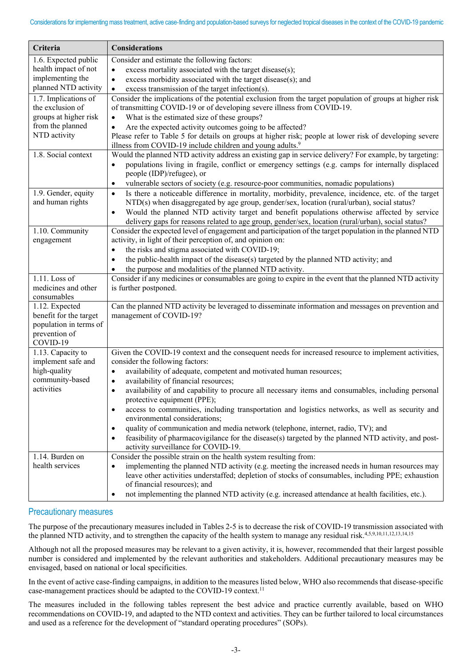| Criteria                                 | <b>Considerations</b>                                                                                                                                                                                         |
|------------------------------------------|---------------------------------------------------------------------------------------------------------------------------------------------------------------------------------------------------------------|
| 1.6. Expected public                     | Consider and estimate the following factors:                                                                                                                                                                  |
| health impact of not                     | excess mortality associated with the target disease(s);<br>$\bullet$                                                                                                                                          |
| implementing the                         | excess morbidity associated with the target disease(s); and<br>$\bullet$                                                                                                                                      |
| planned NTD activity                     | excess transmission of the target infection(s).<br>$\bullet$                                                                                                                                                  |
| 1.7. Implications of<br>the exclusion of | Consider the implications of the potential exclusion from the target population of groups at higher risk                                                                                                      |
| groups at higher risk                    | of transmitting COVID-19 or of developing severe illness from COVID-19.<br>What is the estimated size of these groups?<br>$\bullet$                                                                           |
| from the planned                         | Are the expected activity outcomes going to be affected?                                                                                                                                                      |
| NTD activity                             | Please refer to Table 5 for details on groups at higher risk; people at lower risk of developing severe                                                                                                       |
|                                          | illness from COVID-19 include children and young adults. <sup>9</sup>                                                                                                                                         |
| 1.8. Social context                      | Would the planned NTD activity address an existing gap in service delivery? For example, by targeting:                                                                                                        |
|                                          | populations living in fragile, conflict or emergency settings (e.g. camps for internally displaced<br>$\bullet$                                                                                               |
|                                          | people (IDP)/refugee), or                                                                                                                                                                                     |
|                                          | vulnerable sectors of society (e.g. resource-poor communities, nomadic populations)<br>$\bullet$                                                                                                              |
| 1.9. Gender, equity                      | Is there a noticeable difference in mortality, morbidity, prevalence, incidence, etc. of the target<br>$\bullet$                                                                                              |
| and human rights                         | NTD(s) when disaggregated by age group, gender/sex, location (rural/urban), social status?                                                                                                                    |
|                                          | Would the planned NTD activity target and benefit populations otherwise affected by service<br>$\bullet$                                                                                                      |
| 1.10. Community                          | delivery gaps for reasons related to age group, gender/sex, location (rural/urban), social status?<br>Consider the expected level of engagement and participation of the target population in the planned NTD |
| engagement                               | activity, in light of their perception of, and opinion on:                                                                                                                                                    |
|                                          | the risks and stigma associated with COVID-19;<br>$\bullet$                                                                                                                                                   |
|                                          | the public-health impact of the disease(s) targeted by the planned NTD activity; and<br>$\bullet$                                                                                                             |
|                                          | the purpose and modalities of the planned NTD activity.                                                                                                                                                       |
| 1.11. Loss of                            | Consider if any medicines or consumables are going to expire in the event that the planned NTD activity                                                                                                       |
| medicines and other                      | is further postponed.                                                                                                                                                                                         |
| consumables                              |                                                                                                                                                                                                               |
| 1.12. Expected                           | Can the planned NTD activity be leveraged to disseminate information and messages on prevention and                                                                                                           |
| benefit for the target                   | management of COVID-19?                                                                                                                                                                                       |
| population in terms of<br>prevention of  |                                                                                                                                                                                                               |
| COVID-19                                 |                                                                                                                                                                                                               |
| 1.13. Capacity to                        | Given the COVID-19 context and the consequent needs for increased resource to implement activities,                                                                                                           |
| implement safe and                       | consider the following factors:                                                                                                                                                                               |
| high-quality                             | availability of adequate, competent and motivated human resources;<br>$\bullet$                                                                                                                               |
| community-based                          | availability of financial resources;<br>$\bullet$                                                                                                                                                             |
| activities                               | availability of and capability to procure all necessary items and consumables, including personal<br>$\bullet$                                                                                                |
|                                          | protective equipment (PPE);                                                                                                                                                                                   |
|                                          | access to communities, including transportation and logistics networks, as well as security and<br>$\bullet$<br>environmental considerations;                                                                 |
|                                          | quality of communication and media network (telephone, internet, radio, TV); and<br>$\bullet$                                                                                                                 |
|                                          | feasibility of pharmacovigilance for the disease(s) targeted by the planned NTD activity, and post-<br>$\bullet$                                                                                              |
|                                          | activity surveillance for COVID-19.                                                                                                                                                                           |
| 1.14. Burden on                          | Consider the possible strain on the health system resulting from:                                                                                                                                             |
| health services                          | implementing the planned NTD activity (e.g. meeting the increased needs in human resources may<br>$\bullet$                                                                                                   |
|                                          | leave other activities understaffed; depletion of stocks of consumables, including PPE; exhaustion                                                                                                            |
|                                          | of financial resources); and                                                                                                                                                                                  |
|                                          | not implementing the planned NTD activity (e.g. increased attendance at health facilities, etc.).<br>$\bullet$                                                                                                |

# Precautionary measures

The purpose of the precautionary measures included in Tables 2-5 is to decrease the risk of COVID-19 transmission associated with the planned NTD activity, and to strengthen the capacity of the health system to manage any residual risk.<sup>4,5,9,10,11,12,13,14,15</sup>

Although not all the proposed measures may be relevant to a given activity, it is, however, recommended that their largest possible number is considered and implemented by the relevant authorities and stakeholders. Additional precautionary measures may be envisaged, based on national or local specificities.

In the event of active case-finding campaigns, in addition to the measures listed below, WHO also recommends that disease-specific case-management practices should be adapted to the COVID-19 context.<sup>11</sup>

The measures included in the following tables represent the best advice and practice currently available, based on WHO recommendations on COVID-19, and adapted to the NTD context and activities. They can be further tailored to local circumstances and used as a reference for the development of "standard operating procedures" (SOPs).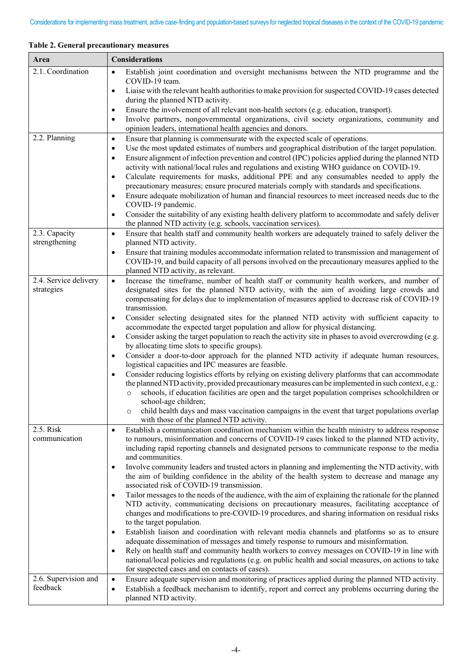| 2.1. Coordination<br>Establish joint coordination and oversight mechanisms between the NTD programme and the<br>$\bullet$<br>COVID-19 team.<br>Liaise with the relevant health authorities to make provision for suspected COVID-19 cases detected<br>$\bullet$<br>during the planned NTD activity.<br>Ensure the involvement of all relevant non-health sectors (e.g. education, transport).<br>٠<br>Involve partners, nongovernmental organizations, civil society organizations, community and<br>$\bullet$<br>opinion leaders, international health agencies and donors.<br>2.2. Planning<br>Ensure that planning is commensurate with the expected scale of operations.<br>$\bullet$<br>Use the most updated estimates of numbers and geographical distribution of the target population.<br>$\bullet$<br>Ensure alignment of infection prevention and control (IPC) policies applied during the planned NTD<br>$\bullet$<br>activity with national/local rules and regulations and existing WHO guidance on COVID-19.<br>Calculate requirements for masks, additional PPE and any consumables needed to apply the<br>$\bullet$<br>precautionary measures; ensure procured materials comply with standards and specifications.<br>Ensure adequate mobilization of human and financial resources to meet increased needs due to the<br>$\bullet$<br>COVID-19 pandemic.<br>Consider the suitability of any existing health delivery platform to accommodate and safely deliver<br>$\bullet$<br>the planned NTD activity (e.g. schools, vaccination services).<br>2.3. Capacity<br>Ensure that health staff and community health workers are adequately trained to safely deliver the<br>$\bullet$<br>strengthening<br>planned NTD activity.<br>Ensure that training modules accommodate information related to transmission and management of<br>$\bullet$<br>COVID-19, and build capacity of all persons involved on the precautionary measures applied to the<br>planned NTD activity, as relevant.<br>2.4. Service delivery<br>Increase the timeframe, number of health staff or community health workers, and number of<br>$\bullet$<br>designated sites for the planned NTD activity, with the aim of avoiding large crowds and<br>strategies<br>compensating for delays due to implementation of measures applied to decrease risk of COVID-19<br>transmission.<br>Consider selecting designated sites for the planned NTD activity with sufficient capacity to<br>$\bullet$<br>accommodate the expected target population and allow for physical distancing.<br>Consider asking the target population to reach the activity site in phases to avoid overcrowding (e.g.<br>$\bullet$<br>by allocating time slots to specific groups).<br>Consider a door-to-door approach for the planned NTD activity if adequate human resources,<br>$\bullet$<br>logistical capacities and IPC measures are feasible.<br>Consider reducing logistics efforts by relying on existing delivery platforms that can accommodate<br>$\bullet$<br>the planned NTD activity, provided precautionary measures can be implemented in such context, e.g.:<br>schools, if education facilities are open and the target population comprises schoolchildren or<br>$\circ$<br>school-age children;<br>child health days and mass vaccination campaigns in the event that target populations overlap<br>with those of the planned NTD activity.<br>2.5. Risk<br>Establish a communication coordination mechanism within the health ministry to address response<br>$\bullet$<br>communication<br>to rumours, misinformation and concerns of COVID-19 cases linked to the planned NTD activity,<br>including rapid reporting channels and designated persons to communicate response to the media<br>and communities.<br>Involve community leaders and trusted actors in planning and implementing the NTD activity, with<br>$\bullet$<br>the aim of building confidence in the ability of the health system to decrease and manage any<br>associated risk of COVID-19 transmission.<br>Tailor messages to the needs of the audience, with the aim of explaining the rationale for the planned<br>$\bullet$<br>NTD activity, communicating decisions on precautionary measures, facilitating acceptance of<br>changes and modifications to pre-COVID-19 procedures, and sharing information on residual risks<br>to the target population.<br>Establish liaison and coordination with relevant media channels and platforms so as to ensure<br>$\bullet$<br>adequate dissemination of messages and timely response to rumours and misinformation.<br>Rely on health staff and community health workers to convey messages on COVID-19 in line with<br>$\bullet$<br>national/local policies and regulations (e.g. on public health and social measures, on actions to take<br>for suspected cases and on contacts of cases).<br>2.6. Supervision and<br>Ensure adequate supervision and monitoring of practices applied during the planned NTD activity.<br>$\bullet$<br>feedback<br>Establish a feedback mechanism to identify, report and correct any problems occurring during the<br>$\bullet$<br>planned NTD activity. | Area | <b>Considerations</b> |
|---------------------------------------------------------------------------------------------------------------------------------------------------------------------------------------------------------------------------------------------------------------------------------------------------------------------------------------------------------------------------------------------------------------------------------------------------------------------------------------------------------------------------------------------------------------------------------------------------------------------------------------------------------------------------------------------------------------------------------------------------------------------------------------------------------------------------------------------------------------------------------------------------------------------------------------------------------------------------------------------------------------------------------------------------------------------------------------------------------------------------------------------------------------------------------------------------------------------------------------------------------------------------------------------------------------------------------------------------------------------------------------------------------------------------------------------------------------------------------------------------------------------------------------------------------------------------------------------------------------------------------------------------------------------------------------------------------------------------------------------------------------------------------------------------------------------------------------------------------------------------------------------------------------------------------------------------------------------------------------------------------------------------------------------------------------------------------------------------------------------------------------------------------------------------------------------------------------------------------------------------------------------------------------------------------------------------------------------------------------------------------------------------------------------------------------------------------------------------------------------------------------------------------------------------------------------------------------------------------------------------------------------------------------------------------------------------------------------------------------------------------------------------------------------------------------------------------------------------------------------------------------------------------------------------------------------------------------------------------------------------------------------------------------------------------------------------------------------------------------------------------------------------------------------------------------------------------------------------------------------------------------------------------------------------------------------------------------------------------------------------------------------------------------------------------------------------------------------------------------------------------------------------------------------------------------------------------------------------------------------------------------------------------------------------------------------------------------------------------------------------------------------------------------------------------------------------------------------------------------------------------------------------------------------------------------------------------------------------------------------------------------------------------------------------------------------------------------------------------------------------------------------------------------------------------------------------------------------------------------------------------------------------------------------------------------------------------------------------------------------------------------------------------------------------------------------------------------------------------------------------------------------------------------------------------------------------------------------------------------------------------------------------------------------------------------------------------------------------------------------------------------------------------------------------------------------------------------------------------------------------------------------------------------------------------------------------------------------------------------------------------------------------------------------------------------------------------------------------------------------------------------------------------------------------------------------------------|------|-----------------------|
|                                                                                                                                                                                                                                                                                                                                                                                                                                                                                                                                                                                                                                                                                                                                                                                                                                                                                                                                                                                                                                                                                                                                                                                                                                                                                                                                                                                                                                                                                                                                                                                                                                                                                                                                                                                                                                                                                                                                                                                                                                                                                                                                                                                                                                                                                                                                                                                                                                                                                                                                                                                                                                                                                                                                                                                                                                                                                                                                                                                                                                                                                                                                                                                                                                                                                                                                                                                                                                                                                                                                                                                                                                                                                                                                                                                                                                                                                                                                                                                                                                                                                                                                                                                                                                                                                                                                                                                                                                                                                                                                                                                                                                                                                                                                                                                                                                                                                                                                                                                                                                                                                                                                                                                                         |      |                       |
|                                                                                                                                                                                                                                                                                                                                                                                                                                                                                                                                                                                                                                                                                                                                                                                                                                                                                                                                                                                                                                                                                                                                                                                                                                                                                                                                                                                                                                                                                                                                                                                                                                                                                                                                                                                                                                                                                                                                                                                                                                                                                                                                                                                                                                                                                                                                                                                                                                                                                                                                                                                                                                                                                                                                                                                                                                                                                                                                                                                                                                                                                                                                                                                                                                                                                                                                                                                                                                                                                                                                                                                                                                                                                                                                                                                                                                                                                                                                                                                                                                                                                                                                                                                                                                                                                                                                                                                                                                                                                                                                                                                                                                                                                                                                                                                                                                                                                                                                                                                                                                                                                                                                                                                                         |      |                       |
|                                                                                                                                                                                                                                                                                                                                                                                                                                                                                                                                                                                                                                                                                                                                                                                                                                                                                                                                                                                                                                                                                                                                                                                                                                                                                                                                                                                                                                                                                                                                                                                                                                                                                                                                                                                                                                                                                                                                                                                                                                                                                                                                                                                                                                                                                                                                                                                                                                                                                                                                                                                                                                                                                                                                                                                                                                                                                                                                                                                                                                                                                                                                                                                                                                                                                                                                                                                                                                                                                                                                                                                                                                                                                                                                                                                                                                                                                                                                                                                                                                                                                                                                                                                                                                                                                                                                                                                                                                                                                                                                                                                                                                                                                                                                                                                                                                                                                                                                                                                                                                                                                                                                                                                                         |      |                       |
|                                                                                                                                                                                                                                                                                                                                                                                                                                                                                                                                                                                                                                                                                                                                                                                                                                                                                                                                                                                                                                                                                                                                                                                                                                                                                                                                                                                                                                                                                                                                                                                                                                                                                                                                                                                                                                                                                                                                                                                                                                                                                                                                                                                                                                                                                                                                                                                                                                                                                                                                                                                                                                                                                                                                                                                                                                                                                                                                                                                                                                                                                                                                                                                                                                                                                                                                                                                                                                                                                                                                                                                                                                                                                                                                                                                                                                                                                                                                                                                                                                                                                                                                                                                                                                                                                                                                                                                                                                                                                                                                                                                                                                                                                                                                                                                                                                                                                                                                                                                                                                                                                                                                                                                                         |      |                       |
|                                                                                                                                                                                                                                                                                                                                                                                                                                                                                                                                                                                                                                                                                                                                                                                                                                                                                                                                                                                                                                                                                                                                                                                                                                                                                                                                                                                                                                                                                                                                                                                                                                                                                                                                                                                                                                                                                                                                                                                                                                                                                                                                                                                                                                                                                                                                                                                                                                                                                                                                                                                                                                                                                                                                                                                                                                                                                                                                                                                                                                                                                                                                                                                                                                                                                                                                                                                                                                                                                                                                                                                                                                                                                                                                                                                                                                                                                                                                                                                                                                                                                                                                                                                                                                                                                                                                                                                                                                                                                                                                                                                                                                                                                                                                                                                                                                                                                                                                                                                                                                                                                                                                                                                                         |      |                       |
|                                                                                                                                                                                                                                                                                                                                                                                                                                                                                                                                                                                                                                                                                                                                                                                                                                                                                                                                                                                                                                                                                                                                                                                                                                                                                                                                                                                                                                                                                                                                                                                                                                                                                                                                                                                                                                                                                                                                                                                                                                                                                                                                                                                                                                                                                                                                                                                                                                                                                                                                                                                                                                                                                                                                                                                                                                                                                                                                                                                                                                                                                                                                                                                                                                                                                                                                                                                                                                                                                                                                                                                                                                                                                                                                                                                                                                                                                                                                                                                                                                                                                                                                                                                                                                                                                                                                                                                                                                                                                                                                                                                                                                                                                                                                                                                                                                                                                                                                                                                                                                                                                                                                                                                                         |      |                       |
|                                                                                                                                                                                                                                                                                                                                                                                                                                                                                                                                                                                                                                                                                                                                                                                                                                                                                                                                                                                                                                                                                                                                                                                                                                                                                                                                                                                                                                                                                                                                                                                                                                                                                                                                                                                                                                                                                                                                                                                                                                                                                                                                                                                                                                                                                                                                                                                                                                                                                                                                                                                                                                                                                                                                                                                                                                                                                                                                                                                                                                                                                                                                                                                                                                                                                                                                                                                                                                                                                                                                                                                                                                                                                                                                                                                                                                                                                                                                                                                                                                                                                                                                                                                                                                                                                                                                                                                                                                                                                                                                                                                                                                                                                                                                                                                                                                                                                                                                                                                                                                                                                                                                                                                                         |      |                       |
|                                                                                                                                                                                                                                                                                                                                                                                                                                                                                                                                                                                                                                                                                                                                                                                                                                                                                                                                                                                                                                                                                                                                                                                                                                                                                                                                                                                                                                                                                                                                                                                                                                                                                                                                                                                                                                                                                                                                                                                                                                                                                                                                                                                                                                                                                                                                                                                                                                                                                                                                                                                                                                                                                                                                                                                                                                                                                                                                                                                                                                                                                                                                                                                                                                                                                                                                                                                                                                                                                                                                                                                                                                                                                                                                                                                                                                                                                                                                                                                                                                                                                                                                                                                                                                                                                                                                                                                                                                                                                                                                                                                                                                                                                                                                                                                                                                                                                                                                                                                                                                                                                                                                                                                                         |      |                       |
|                                                                                                                                                                                                                                                                                                                                                                                                                                                                                                                                                                                                                                                                                                                                                                                                                                                                                                                                                                                                                                                                                                                                                                                                                                                                                                                                                                                                                                                                                                                                                                                                                                                                                                                                                                                                                                                                                                                                                                                                                                                                                                                                                                                                                                                                                                                                                                                                                                                                                                                                                                                                                                                                                                                                                                                                                                                                                                                                                                                                                                                                                                                                                                                                                                                                                                                                                                                                                                                                                                                                                                                                                                                                                                                                                                                                                                                                                                                                                                                                                                                                                                                                                                                                                                                                                                                                                                                                                                                                                                                                                                                                                                                                                                                                                                                                                                                                                                                                                                                                                                                                                                                                                                                                         |      |                       |
|                                                                                                                                                                                                                                                                                                                                                                                                                                                                                                                                                                                                                                                                                                                                                                                                                                                                                                                                                                                                                                                                                                                                                                                                                                                                                                                                                                                                                                                                                                                                                                                                                                                                                                                                                                                                                                                                                                                                                                                                                                                                                                                                                                                                                                                                                                                                                                                                                                                                                                                                                                                                                                                                                                                                                                                                                                                                                                                                                                                                                                                                                                                                                                                                                                                                                                                                                                                                                                                                                                                                                                                                                                                                                                                                                                                                                                                                                                                                                                                                                                                                                                                                                                                                                                                                                                                                                                                                                                                                                                                                                                                                                                                                                                                                                                                                                                                                                                                                                                                                                                                                                                                                                                                                         |      |                       |
|                                                                                                                                                                                                                                                                                                                                                                                                                                                                                                                                                                                                                                                                                                                                                                                                                                                                                                                                                                                                                                                                                                                                                                                                                                                                                                                                                                                                                                                                                                                                                                                                                                                                                                                                                                                                                                                                                                                                                                                                                                                                                                                                                                                                                                                                                                                                                                                                                                                                                                                                                                                                                                                                                                                                                                                                                                                                                                                                                                                                                                                                                                                                                                                                                                                                                                                                                                                                                                                                                                                                                                                                                                                                                                                                                                                                                                                                                                                                                                                                                                                                                                                                                                                                                                                                                                                                                                                                                                                                                                                                                                                                                                                                                                                                                                                                                                                                                                                                                                                                                                                                                                                                                                                                         |      |                       |
|                                                                                                                                                                                                                                                                                                                                                                                                                                                                                                                                                                                                                                                                                                                                                                                                                                                                                                                                                                                                                                                                                                                                                                                                                                                                                                                                                                                                                                                                                                                                                                                                                                                                                                                                                                                                                                                                                                                                                                                                                                                                                                                                                                                                                                                                                                                                                                                                                                                                                                                                                                                                                                                                                                                                                                                                                                                                                                                                                                                                                                                                                                                                                                                                                                                                                                                                                                                                                                                                                                                                                                                                                                                                                                                                                                                                                                                                                                                                                                                                                                                                                                                                                                                                                                                                                                                                                                                                                                                                                                                                                                                                                                                                                                                                                                                                                                                                                                                                                                                                                                                                                                                                                                                                         |      |                       |
|                                                                                                                                                                                                                                                                                                                                                                                                                                                                                                                                                                                                                                                                                                                                                                                                                                                                                                                                                                                                                                                                                                                                                                                                                                                                                                                                                                                                                                                                                                                                                                                                                                                                                                                                                                                                                                                                                                                                                                                                                                                                                                                                                                                                                                                                                                                                                                                                                                                                                                                                                                                                                                                                                                                                                                                                                                                                                                                                                                                                                                                                                                                                                                                                                                                                                                                                                                                                                                                                                                                                                                                                                                                                                                                                                                                                                                                                                                                                                                                                                                                                                                                                                                                                                                                                                                                                                                                                                                                                                                                                                                                                                                                                                                                                                                                                                                                                                                                                                                                                                                                                                                                                                                                                         |      |                       |
|                                                                                                                                                                                                                                                                                                                                                                                                                                                                                                                                                                                                                                                                                                                                                                                                                                                                                                                                                                                                                                                                                                                                                                                                                                                                                                                                                                                                                                                                                                                                                                                                                                                                                                                                                                                                                                                                                                                                                                                                                                                                                                                                                                                                                                                                                                                                                                                                                                                                                                                                                                                                                                                                                                                                                                                                                                                                                                                                                                                                                                                                                                                                                                                                                                                                                                                                                                                                                                                                                                                                                                                                                                                                                                                                                                                                                                                                                                                                                                                                                                                                                                                                                                                                                                                                                                                                                                                                                                                                                                                                                                                                                                                                                                                                                                                                                                                                                                                                                                                                                                                                                                                                                                                                         |      |                       |
|                                                                                                                                                                                                                                                                                                                                                                                                                                                                                                                                                                                                                                                                                                                                                                                                                                                                                                                                                                                                                                                                                                                                                                                                                                                                                                                                                                                                                                                                                                                                                                                                                                                                                                                                                                                                                                                                                                                                                                                                                                                                                                                                                                                                                                                                                                                                                                                                                                                                                                                                                                                                                                                                                                                                                                                                                                                                                                                                                                                                                                                                                                                                                                                                                                                                                                                                                                                                                                                                                                                                                                                                                                                                                                                                                                                                                                                                                                                                                                                                                                                                                                                                                                                                                                                                                                                                                                                                                                                                                                                                                                                                                                                                                                                                                                                                                                                                                                                                                                                                                                                                                                                                                                                                         |      |                       |
|                                                                                                                                                                                                                                                                                                                                                                                                                                                                                                                                                                                                                                                                                                                                                                                                                                                                                                                                                                                                                                                                                                                                                                                                                                                                                                                                                                                                                                                                                                                                                                                                                                                                                                                                                                                                                                                                                                                                                                                                                                                                                                                                                                                                                                                                                                                                                                                                                                                                                                                                                                                                                                                                                                                                                                                                                                                                                                                                                                                                                                                                                                                                                                                                                                                                                                                                                                                                                                                                                                                                                                                                                                                                                                                                                                                                                                                                                                                                                                                                                                                                                                                                                                                                                                                                                                                                                                                                                                                                                                                                                                                                                                                                                                                                                                                                                                                                                                                                                                                                                                                                                                                                                                                                         |      |                       |
|                                                                                                                                                                                                                                                                                                                                                                                                                                                                                                                                                                                                                                                                                                                                                                                                                                                                                                                                                                                                                                                                                                                                                                                                                                                                                                                                                                                                                                                                                                                                                                                                                                                                                                                                                                                                                                                                                                                                                                                                                                                                                                                                                                                                                                                                                                                                                                                                                                                                                                                                                                                                                                                                                                                                                                                                                                                                                                                                                                                                                                                                                                                                                                                                                                                                                                                                                                                                                                                                                                                                                                                                                                                                                                                                                                                                                                                                                                                                                                                                                                                                                                                                                                                                                                                                                                                                                                                                                                                                                                                                                                                                                                                                                                                                                                                                                                                                                                                                                                                                                                                                                                                                                                                                         |      |                       |
|                                                                                                                                                                                                                                                                                                                                                                                                                                                                                                                                                                                                                                                                                                                                                                                                                                                                                                                                                                                                                                                                                                                                                                                                                                                                                                                                                                                                                                                                                                                                                                                                                                                                                                                                                                                                                                                                                                                                                                                                                                                                                                                                                                                                                                                                                                                                                                                                                                                                                                                                                                                                                                                                                                                                                                                                                                                                                                                                                                                                                                                                                                                                                                                                                                                                                                                                                                                                                                                                                                                                                                                                                                                                                                                                                                                                                                                                                                                                                                                                                                                                                                                                                                                                                                                                                                                                                                                                                                                                                                                                                                                                                                                                                                                                                                                                                                                                                                                                                                                                                                                                                                                                                                                                         |      |                       |
|                                                                                                                                                                                                                                                                                                                                                                                                                                                                                                                                                                                                                                                                                                                                                                                                                                                                                                                                                                                                                                                                                                                                                                                                                                                                                                                                                                                                                                                                                                                                                                                                                                                                                                                                                                                                                                                                                                                                                                                                                                                                                                                                                                                                                                                                                                                                                                                                                                                                                                                                                                                                                                                                                                                                                                                                                                                                                                                                                                                                                                                                                                                                                                                                                                                                                                                                                                                                                                                                                                                                                                                                                                                                                                                                                                                                                                                                                                                                                                                                                                                                                                                                                                                                                                                                                                                                                                                                                                                                                                                                                                                                                                                                                                                                                                                                                                                                                                                                                                                                                                                                                                                                                                                                         |      |                       |
|                                                                                                                                                                                                                                                                                                                                                                                                                                                                                                                                                                                                                                                                                                                                                                                                                                                                                                                                                                                                                                                                                                                                                                                                                                                                                                                                                                                                                                                                                                                                                                                                                                                                                                                                                                                                                                                                                                                                                                                                                                                                                                                                                                                                                                                                                                                                                                                                                                                                                                                                                                                                                                                                                                                                                                                                                                                                                                                                                                                                                                                                                                                                                                                                                                                                                                                                                                                                                                                                                                                                                                                                                                                                                                                                                                                                                                                                                                                                                                                                                                                                                                                                                                                                                                                                                                                                                                                                                                                                                                                                                                                                                                                                                                                                                                                                                                                                                                                                                                                                                                                                                                                                                                                                         |      |                       |
|                                                                                                                                                                                                                                                                                                                                                                                                                                                                                                                                                                                                                                                                                                                                                                                                                                                                                                                                                                                                                                                                                                                                                                                                                                                                                                                                                                                                                                                                                                                                                                                                                                                                                                                                                                                                                                                                                                                                                                                                                                                                                                                                                                                                                                                                                                                                                                                                                                                                                                                                                                                                                                                                                                                                                                                                                                                                                                                                                                                                                                                                                                                                                                                                                                                                                                                                                                                                                                                                                                                                                                                                                                                                                                                                                                                                                                                                                                                                                                                                                                                                                                                                                                                                                                                                                                                                                                                                                                                                                                                                                                                                                                                                                                                                                                                                                                                                                                                                                                                                                                                                                                                                                                                                         |      |                       |
|                                                                                                                                                                                                                                                                                                                                                                                                                                                                                                                                                                                                                                                                                                                                                                                                                                                                                                                                                                                                                                                                                                                                                                                                                                                                                                                                                                                                                                                                                                                                                                                                                                                                                                                                                                                                                                                                                                                                                                                                                                                                                                                                                                                                                                                                                                                                                                                                                                                                                                                                                                                                                                                                                                                                                                                                                                                                                                                                                                                                                                                                                                                                                                                                                                                                                                                                                                                                                                                                                                                                                                                                                                                                                                                                                                                                                                                                                                                                                                                                                                                                                                                                                                                                                                                                                                                                                                                                                                                                                                                                                                                                                                                                                                                                                                                                                                                                                                                                                                                                                                                                                                                                                                                                         |      |                       |
|                                                                                                                                                                                                                                                                                                                                                                                                                                                                                                                                                                                                                                                                                                                                                                                                                                                                                                                                                                                                                                                                                                                                                                                                                                                                                                                                                                                                                                                                                                                                                                                                                                                                                                                                                                                                                                                                                                                                                                                                                                                                                                                                                                                                                                                                                                                                                                                                                                                                                                                                                                                                                                                                                                                                                                                                                                                                                                                                                                                                                                                                                                                                                                                                                                                                                                                                                                                                                                                                                                                                                                                                                                                                                                                                                                                                                                                                                                                                                                                                                                                                                                                                                                                                                                                                                                                                                                                                                                                                                                                                                                                                                                                                                                                                                                                                                                                                                                                                                                                                                                                                                                                                                                                                         |      |                       |
|                                                                                                                                                                                                                                                                                                                                                                                                                                                                                                                                                                                                                                                                                                                                                                                                                                                                                                                                                                                                                                                                                                                                                                                                                                                                                                                                                                                                                                                                                                                                                                                                                                                                                                                                                                                                                                                                                                                                                                                                                                                                                                                                                                                                                                                                                                                                                                                                                                                                                                                                                                                                                                                                                                                                                                                                                                                                                                                                                                                                                                                                                                                                                                                                                                                                                                                                                                                                                                                                                                                                                                                                                                                                                                                                                                                                                                                                                                                                                                                                                                                                                                                                                                                                                                                                                                                                                                                                                                                                                                                                                                                                                                                                                                                                                                                                                                                                                                                                                                                                                                                                                                                                                                                                         |      |                       |
|                                                                                                                                                                                                                                                                                                                                                                                                                                                                                                                                                                                                                                                                                                                                                                                                                                                                                                                                                                                                                                                                                                                                                                                                                                                                                                                                                                                                                                                                                                                                                                                                                                                                                                                                                                                                                                                                                                                                                                                                                                                                                                                                                                                                                                                                                                                                                                                                                                                                                                                                                                                                                                                                                                                                                                                                                                                                                                                                                                                                                                                                                                                                                                                                                                                                                                                                                                                                                                                                                                                                                                                                                                                                                                                                                                                                                                                                                                                                                                                                                                                                                                                                                                                                                                                                                                                                                                                                                                                                                                                                                                                                                                                                                                                                                                                                                                                                                                                                                                                                                                                                                                                                                                                                         |      |                       |
|                                                                                                                                                                                                                                                                                                                                                                                                                                                                                                                                                                                                                                                                                                                                                                                                                                                                                                                                                                                                                                                                                                                                                                                                                                                                                                                                                                                                                                                                                                                                                                                                                                                                                                                                                                                                                                                                                                                                                                                                                                                                                                                                                                                                                                                                                                                                                                                                                                                                                                                                                                                                                                                                                                                                                                                                                                                                                                                                                                                                                                                                                                                                                                                                                                                                                                                                                                                                                                                                                                                                                                                                                                                                                                                                                                                                                                                                                                                                                                                                                                                                                                                                                                                                                                                                                                                                                                                                                                                                                                                                                                                                                                                                                                                                                                                                                                                                                                                                                                                                                                                                                                                                                                                                         |      |                       |
|                                                                                                                                                                                                                                                                                                                                                                                                                                                                                                                                                                                                                                                                                                                                                                                                                                                                                                                                                                                                                                                                                                                                                                                                                                                                                                                                                                                                                                                                                                                                                                                                                                                                                                                                                                                                                                                                                                                                                                                                                                                                                                                                                                                                                                                                                                                                                                                                                                                                                                                                                                                                                                                                                                                                                                                                                                                                                                                                                                                                                                                                                                                                                                                                                                                                                                                                                                                                                                                                                                                                                                                                                                                                                                                                                                                                                                                                                                                                                                                                                                                                                                                                                                                                                                                                                                                                                                                                                                                                                                                                                                                                                                                                                                                                                                                                                                                                                                                                                                                                                                                                                                                                                                                                         |      |                       |
|                                                                                                                                                                                                                                                                                                                                                                                                                                                                                                                                                                                                                                                                                                                                                                                                                                                                                                                                                                                                                                                                                                                                                                                                                                                                                                                                                                                                                                                                                                                                                                                                                                                                                                                                                                                                                                                                                                                                                                                                                                                                                                                                                                                                                                                                                                                                                                                                                                                                                                                                                                                                                                                                                                                                                                                                                                                                                                                                                                                                                                                                                                                                                                                                                                                                                                                                                                                                                                                                                                                                                                                                                                                                                                                                                                                                                                                                                                                                                                                                                                                                                                                                                                                                                                                                                                                                                                                                                                                                                                                                                                                                                                                                                                                                                                                                                                                                                                                                                                                                                                                                                                                                                                                                         |      |                       |
|                                                                                                                                                                                                                                                                                                                                                                                                                                                                                                                                                                                                                                                                                                                                                                                                                                                                                                                                                                                                                                                                                                                                                                                                                                                                                                                                                                                                                                                                                                                                                                                                                                                                                                                                                                                                                                                                                                                                                                                                                                                                                                                                                                                                                                                                                                                                                                                                                                                                                                                                                                                                                                                                                                                                                                                                                                                                                                                                                                                                                                                                                                                                                                                                                                                                                                                                                                                                                                                                                                                                                                                                                                                                                                                                                                                                                                                                                                                                                                                                                                                                                                                                                                                                                                                                                                                                                                                                                                                                                                                                                                                                                                                                                                                                                                                                                                                                                                                                                                                                                                                                                                                                                                                                         |      |                       |
|                                                                                                                                                                                                                                                                                                                                                                                                                                                                                                                                                                                                                                                                                                                                                                                                                                                                                                                                                                                                                                                                                                                                                                                                                                                                                                                                                                                                                                                                                                                                                                                                                                                                                                                                                                                                                                                                                                                                                                                                                                                                                                                                                                                                                                                                                                                                                                                                                                                                                                                                                                                                                                                                                                                                                                                                                                                                                                                                                                                                                                                                                                                                                                                                                                                                                                                                                                                                                                                                                                                                                                                                                                                                                                                                                                                                                                                                                                                                                                                                                                                                                                                                                                                                                                                                                                                                                                                                                                                                                                                                                                                                                                                                                                                                                                                                                                                                                                                                                                                                                                                                                                                                                                                                         |      |                       |
|                                                                                                                                                                                                                                                                                                                                                                                                                                                                                                                                                                                                                                                                                                                                                                                                                                                                                                                                                                                                                                                                                                                                                                                                                                                                                                                                                                                                                                                                                                                                                                                                                                                                                                                                                                                                                                                                                                                                                                                                                                                                                                                                                                                                                                                                                                                                                                                                                                                                                                                                                                                                                                                                                                                                                                                                                                                                                                                                                                                                                                                                                                                                                                                                                                                                                                                                                                                                                                                                                                                                                                                                                                                                                                                                                                                                                                                                                                                                                                                                                                                                                                                                                                                                                                                                                                                                                                                                                                                                                                                                                                                                                                                                                                                                                                                                                                                                                                                                                                                                                                                                                                                                                                                                         |      |                       |
|                                                                                                                                                                                                                                                                                                                                                                                                                                                                                                                                                                                                                                                                                                                                                                                                                                                                                                                                                                                                                                                                                                                                                                                                                                                                                                                                                                                                                                                                                                                                                                                                                                                                                                                                                                                                                                                                                                                                                                                                                                                                                                                                                                                                                                                                                                                                                                                                                                                                                                                                                                                                                                                                                                                                                                                                                                                                                                                                                                                                                                                                                                                                                                                                                                                                                                                                                                                                                                                                                                                                                                                                                                                                                                                                                                                                                                                                                                                                                                                                                                                                                                                                                                                                                                                                                                                                                                                                                                                                                                                                                                                                                                                                                                                                                                                                                                                                                                                                                                                                                                                                                                                                                                                                         |      |                       |

**Table 2. General precautionary measures**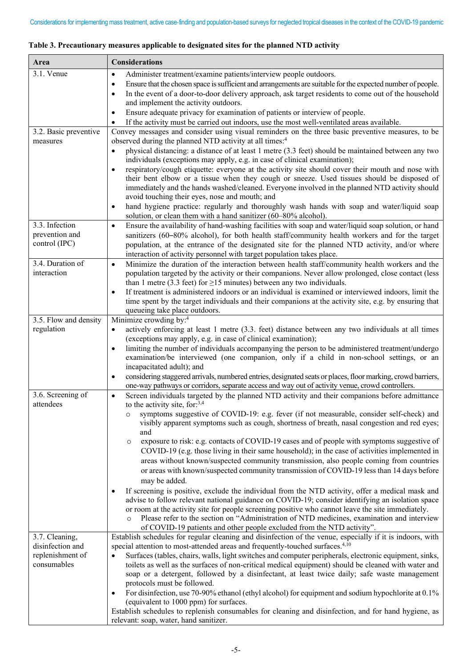| Area                                                                  | <b>Considerations</b>                                                                                                                                                                                                                                                                                                                                                                                                                                                                                                                                                                                                                                                                                                                                                                                                                                                                                                                                                                                                                                                                                                                                                                                                                                                                |
|-----------------------------------------------------------------------|--------------------------------------------------------------------------------------------------------------------------------------------------------------------------------------------------------------------------------------------------------------------------------------------------------------------------------------------------------------------------------------------------------------------------------------------------------------------------------------------------------------------------------------------------------------------------------------------------------------------------------------------------------------------------------------------------------------------------------------------------------------------------------------------------------------------------------------------------------------------------------------------------------------------------------------------------------------------------------------------------------------------------------------------------------------------------------------------------------------------------------------------------------------------------------------------------------------------------------------------------------------------------------------|
| 3.1. Venue                                                            | Administer treatment/examine patients/interview people outdoors.<br>$\bullet$<br>Ensure that the chosen space is sufficient and arrangements are suitable for the expected number of people.<br>$\bullet$<br>In the event of a door-to-door delivery approach, ask target residents to come out of the household<br>$\bullet$<br>and implement the activity outdoors.                                                                                                                                                                                                                                                                                                                                                                                                                                                                                                                                                                                                                                                                                                                                                                                                                                                                                                                |
|                                                                       | Ensure adequate privacy for examination of patients or interview of people.<br>$\bullet$<br>If the activity must be carried out indoors, use the most well-ventilated areas available.<br>$\bullet$                                                                                                                                                                                                                                                                                                                                                                                                                                                                                                                                                                                                                                                                                                                                                                                                                                                                                                                                                                                                                                                                                  |
| 3.2. Basic preventive<br>measures                                     | Convey messages and consider using visual reminders on the three basic preventive measures, to be<br>observed during the planned NTD activity at all times: <sup>4</sup><br>physical distancing: a distance of at least 1 metre (3.3 feet) should be maintained between any two<br>$\bullet$<br>individuals (exceptions may apply, e.g. in case of clinical examination);<br>respiratory/cough etiquette: everyone at the activity site should cover their mouth and nose with<br>$\bullet$<br>their bent elbow or a tissue when they cough or sneeze. Used tissues should be disposed of<br>immediately and the hands washed/cleaned. Everyone involved in the planned NTD activity should<br>avoid touching their eyes, nose and mouth; and<br>hand hygiene practice: regularly and thoroughly wash hands with soap and water/liquid soap<br>$\bullet$                                                                                                                                                                                                                                                                                                                                                                                                                             |
|                                                                       | solution, or clean them with a hand sanitizer (60–80% alcohol).                                                                                                                                                                                                                                                                                                                                                                                                                                                                                                                                                                                                                                                                                                                                                                                                                                                                                                                                                                                                                                                                                                                                                                                                                      |
| 3.3. Infection<br>prevention and<br>control (IPC)                     | Ensure the availability of hand-washing facilities with soap and water/liquid soap solution, or hand<br>$\bullet$<br>sanitizers (60-80% alcohol), for both health staff/community health workers and for the target<br>population, at the entrance of the designated site for the planned NTD activity, and/or where<br>interaction of activity personnel with target population takes place.                                                                                                                                                                                                                                                                                                                                                                                                                                                                                                                                                                                                                                                                                                                                                                                                                                                                                        |
| 3.4. Duration of<br>interaction                                       | Minimize the duration of the interaction between health staff/community health workers and the<br>$\bullet$<br>population targeted by the activity or their companions. Never allow prolonged, close contact (less<br>than 1 metre (3.3 feet) for $\geq$ 15 minutes) between any two individuals.<br>If treatment is administered indoors or an individual is examined or interviewed indoors, limit the<br>$\bullet$<br>time spent by the target individuals and their companions at the activity site, e.g. by ensuring that<br>queueing take place outdoors.                                                                                                                                                                                                                                                                                                                                                                                                                                                                                                                                                                                                                                                                                                                      |
| 3.5. Flow and density                                                 | Minimize crowding by: <sup>4</sup>                                                                                                                                                                                                                                                                                                                                                                                                                                                                                                                                                                                                                                                                                                                                                                                                                                                                                                                                                                                                                                                                                                                                                                                                                                                   |
| regulation                                                            | actively enforcing at least 1 metre (3.3. feet) distance between any two individuals at all times<br>$\bullet$<br>(exceptions may apply, e.g. in case of clinical examination);                                                                                                                                                                                                                                                                                                                                                                                                                                                                                                                                                                                                                                                                                                                                                                                                                                                                                                                                                                                                                                                                                                      |
|                                                                       | limiting the number of individuals accompanying the person to be administered treatment/undergo<br>$\bullet$<br>examination/be interviewed (one companion, only if a child in non-school settings, or an<br>incapacitated adult); and                                                                                                                                                                                                                                                                                                                                                                                                                                                                                                                                                                                                                                                                                                                                                                                                                                                                                                                                                                                                                                                |
|                                                                       | considering staggered arrivals, numbered entries, designated seats or places, floor marking, crowd barriers,<br>$\bullet$<br>one-way pathways or corridors, separate access and way out of activity venue, crowd controllers.                                                                                                                                                                                                                                                                                                                                                                                                                                                                                                                                                                                                                                                                                                                                                                                                                                                                                                                                                                                                                                                        |
| 3.6. Screening of<br>attendees                                        | Screen individuals targeted by the planned NTD activity and their companions before admittance<br>$\bullet$<br>to the activity site, for: $3,4$<br>symptoms suggestive of COVID-19: e.g. fever (if not measurable, consider self-check) and<br>$\circ$<br>visibly apparent symptoms such as cough, shortness of breath, nasal congestion and red eyes;<br>and<br>exposure to risk: e.g. contacts of COVID-19 cases and of people with symptoms suggestive of<br>$\circ$<br>COVID-19 (e.g. those living in their same household); in the case of activities implemented in<br>areas without known/suspected community transmission, also people coming from countries<br>or areas with known/suspected community transmission of COVID-19 less than 14 days before<br>may be added.<br>If screening is positive, exclude the individual from the NTD activity, offer a medical mask and<br>$\bullet$<br>advise to follow relevant national guidance on COVID-19; consider identifying an isolation space<br>or room at the activity site for people screening positive who cannot leave the site immediately.<br>Please refer to the section on "Administration of NTD medicines, examination and interview<br>of COVID-19 patients and other people excluded from the NTD activity". |
| 3.7. Cleaning,<br>disinfection and<br>replenishment of<br>consumables | Establish schedules for regular cleaning and disinfection of the venue, especially if it is indoors, with<br>special attention to most-attended areas and frequently-touched surfaces. <sup>4,10</sup><br>Surfaces (tables, chairs, walls, light switches and computer peripherals, electronic equipment, sinks,<br>toilets as well as the surfaces of non-critical medical equipment) should be cleaned with water and<br>soap or a detergent, followed by a disinfectant, at least twice daily; safe waste management<br>protocols must be followed.<br>For disinfection, use 70-90% ethanol (ethyl alcohol) for equipment and sodium hypochlorite at 0.1%<br>$\bullet$<br>(equivalent to 1000 ppm) for surfaces.                                                                                                                                                                                                                                                                                                                                                                                                                                                                                                                                                                  |
|                                                                       | Establish schedules to replenish consumables for cleaning and disinfection, and for hand hygiene, as<br>relevant: soap, water, hand sanitizer.                                                                                                                                                                                                                                                                                                                                                                                                                                                                                                                                                                                                                                                                                                                                                                                                                                                                                                                                                                                                                                                                                                                                       |

# **Table 3. Precautionary measures applicable to designated sites for the planned NTD activity**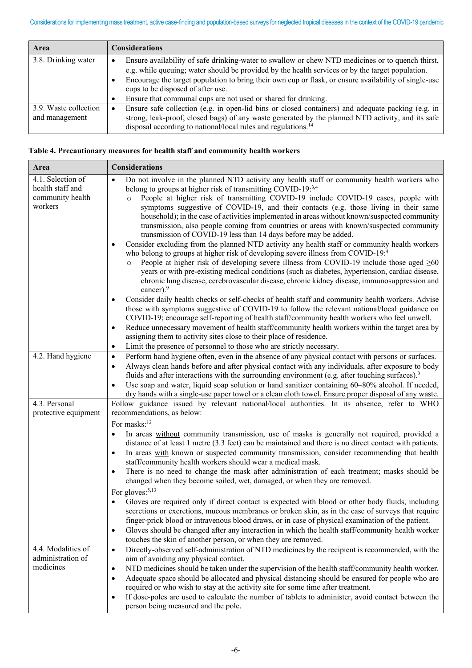| Area                  | <b>Considerations</b>                                                                                      |  |  |  |
|-----------------------|------------------------------------------------------------------------------------------------------------|--|--|--|
| 3.8. Drinking water   | Ensure availability of safe drinking-water to swallow or chew NTD medicines or to quench thirst,           |  |  |  |
|                       | e.g. while queuing; water should be provided by the health services or by the target population.           |  |  |  |
|                       | Encourage the target population to bring their own cup or flask, or ensure availability of single-use<br>٠ |  |  |  |
|                       | cups to be disposed of after use.                                                                          |  |  |  |
|                       | Ensure that communal cups are not used or shared for drinking.<br>٠                                        |  |  |  |
| 3.9. Waste collection | Ensure safe collection (e.g. in open-lid bins or closed containers) and adequate packing (e.g. in<br>٠     |  |  |  |
| and management        | strong, leak-proof, closed bags) of any waste generated by the planned NTD activity, and its safe          |  |  |  |
|                       | disposal according to national/local rules and regulations. <sup>14</sup>                                  |  |  |  |

| Table 4. Precautionary measures for health staff and community health workers |  |  |  |  |
|-------------------------------------------------------------------------------|--|--|--|--|
|                                                                               |  |  |  |  |

| Area                                                                 | <b>Considerations</b>                                                                                                                                                                                                                                                                                                                                                                                                                                                                                                                                                                                                                                                                                                                                                                                                                                                                                                                                                                                                                                                                                                                                                                                                                                                                                                                                                                                                                                                                                                                                                                                                                                                                                                                                        |
|----------------------------------------------------------------------|--------------------------------------------------------------------------------------------------------------------------------------------------------------------------------------------------------------------------------------------------------------------------------------------------------------------------------------------------------------------------------------------------------------------------------------------------------------------------------------------------------------------------------------------------------------------------------------------------------------------------------------------------------------------------------------------------------------------------------------------------------------------------------------------------------------------------------------------------------------------------------------------------------------------------------------------------------------------------------------------------------------------------------------------------------------------------------------------------------------------------------------------------------------------------------------------------------------------------------------------------------------------------------------------------------------------------------------------------------------------------------------------------------------------------------------------------------------------------------------------------------------------------------------------------------------------------------------------------------------------------------------------------------------------------------------------------------------------------------------------------------------|
| 4.1. Selection of<br>health staff and<br>community health<br>workers | Do not involve in the planned NTD activity any health staff or community health workers who<br>$\bullet$<br>belong to groups at higher risk of transmitting COVID-19:3,4<br>People at higher risk of transmitting COVID-19 include COVID-19 cases, people with<br>$\circ$<br>symptoms suggestive of COVID-19, and their contacts (e.g. those living in their same<br>household); in the case of activities implemented in areas without known/suspected community<br>transmission, also people coming from countries or areas with known/suspected community<br>transmission of COVID-19 less than 14 days before may be added.<br>Consider excluding from the planned NTD activity any health staff or community health workers<br>$\bullet$<br>who belong to groups at higher risk of developing severe illness from COVID-19:4<br>People at higher risk of developing severe illness from COVID-19 include those aged $\geq 60$<br>$\circ$<br>years or with pre-existing medical conditions (such as diabetes, hypertension, cardiac disease,<br>chronic lung disease, cerebrovascular disease, chronic kidney disease, immunosuppression and<br>cancer). $9$<br>Consider daily health checks or self-checks of health staff and community health workers. Advise<br>$\bullet$<br>those with symptoms suggestive of COVID-19 to follow the relevant national/local guidance on<br>COVID-19; encourage self-reporting of health staff/community health workers who feel unwell.<br>Reduce unnecessary movement of health staff/community health workers within the target area by<br>$\bullet$<br>assigning them to activity sites close to their place of residence.<br>Limit the presence of personnel to those who are strictly necessary.<br>$\bullet$ |
| 4.2. Hand hygiene                                                    | Perform hand hygiene often, even in the absence of any physical contact with persons or surfaces.<br>$\bullet$<br>Always clean hands before and after physical contact with any individuals, after exposure to body<br>$\bullet$<br>fluids and after interactions with the surrounding environment (e.g. after touching surfaces). <sup>3</sup><br>Use soap and water, liquid soap solution or hand sanitizer containing 60–80% alcohol. If needed,<br>$\bullet$<br>dry hands with a single-use paper towel or a clean cloth towel. Ensure proper disposal of any waste.                                                                                                                                                                                                                                                                                                                                                                                                                                                                                                                                                                                                                                                                                                                                                                                                                                                                                                                                                                                                                                                                                                                                                                                     |
| 4.3. Personal                                                        | Follow guidance issued by relevant national/local authorities. In its absence, refer to WHO                                                                                                                                                                                                                                                                                                                                                                                                                                                                                                                                                                                                                                                                                                                                                                                                                                                                                                                                                                                                                                                                                                                                                                                                                                                                                                                                                                                                                                                                                                                                                                                                                                                                  |
| protective equipment                                                 | recommendations, as below:<br>For masks: <sup>12</sup><br>In areas without community transmission, use of masks is generally not required, provided a<br>$\bullet$<br>distance of at least 1 metre (3.3 feet) can be maintained and there is no direct contact with patients.<br>In areas with known or suspected community transmission, consider recommending that health<br>$\bullet$<br>staff/community health workers should wear a medical mask.<br>There is no need to change the mask after administration of each treatment; masks should be<br>$\bullet$<br>changed when they become soiled, wet, damaged, or when they are removed.<br>For gloves: <sup>5,13</sup><br>Gloves are required only if direct contact is expected with blood or other body fluids, including<br>secretions or excretions, mucous membranes or broken skin, as in the case of surveys that require<br>finger-prick blood or intravenous blood draws, or in case of physical examination of the patient.<br>Gloves should be changed after any interaction in which the health staff/community health worker<br>$\bullet$<br>touches the skin of another person, or when they are removed.                                                                                                                                                                                                                                                                                                                                                                                                                                                                                                                                                                               |
| 4.4. Modalities of<br>administration of<br>medicines                 | Directly-observed self-administration of NTD medicines by the recipient is recommended, with the<br>$\bullet$<br>aim of avoiding any physical contact.<br>NTD medicines should be taken under the supervision of the health staff/community health worker.<br>$\bullet$<br>Adequate space should be allocated and physical distancing should be ensured for people who are<br>$\bullet$<br>required or who wish to stay at the activity site for some time after treatment.<br>If dose-poles are used to calculate the number of tablets to administer, avoid contact between the<br>$\bullet$<br>person being measured and the pole.                                                                                                                                                                                                                                                                                                                                                                                                                                                                                                                                                                                                                                                                                                                                                                                                                                                                                                                                                                                                                                                                                                                        |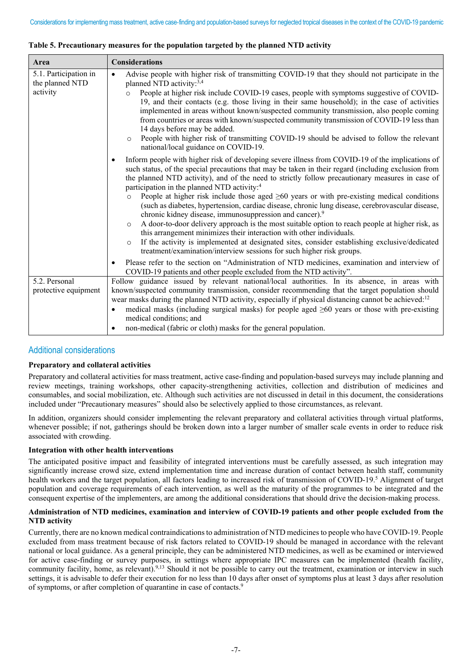| Area                                                 | <b>Considerations</b>                                                                                                                                                                                                                                                                                                                                                                                                                                                                                                                                                                                                                                                                                                                                                                                                                                                                                                                                                                                                                                   |
|------------------------------------------------------|---------------------------------------------------------------------------------------------------------------------------------------------------------------------------------------------------------------------------------------------------------------------------------------------------------------------------------------------------------------------------------------------------------------------------------------------------------------------------------------------------------------------------------------------------------------------------------------------------------------------------------------------------------------------------------------------------------------------------------------------------------------------------------------------------------------------------------------------------------------------------------------------------------------------------------------------------------------------------------------------------------------------------------------------------------|
| 5.1. Participation in<br>the planned NTD<br>activity | Advise people with higher risk of transmitting COVID-19 that they should not participate in the<br>$\bullet$<br>planned NTD activity: <sup>3,4</sup><br>People at higher risk include COVID-19 cases, people with symptoms suggestive of COVID-<br>$\circ$<br>19, and their contacts (e.g. those living in their same household); in the case of activities<br>implemented in areas without known/suspected community transmission, also people coming<br>from countries or areas with known/suspected community transmission of COVID-19 less than<br>14 days before may be added.<br>People with higher risk of transmitting COVID-19 should be advised to follow the relevant<br>$\circ$<br>national/local guidance on COVID-19.                                                                                                                                                                                                                                                                                                                     |
|                                                      | Inform people with higher risk of developing severe illness from COVID-19 of the implications of<br>$\bullet$<br>such status, of the special precautions that may be taken in their regard (including exclusion from<br>the planned NTD activity), and of the need to strictly follow precautionary measures in case of<br>participation in the planned NTD activity: <sup>4</sup><br>People at higher risk include those aged $\geq 60$ years or with pre-existing medical conditions<br>$\circ$<br>(such as diabetes, hypertension, cardiac disease, chronic lung disease, cerebrovascular disease,<br>chronic kidney disease, immunosuppression and cancer). <sup>9</sup><br>A door-to-door delivery approach is the most suitable option to reach people at higher risk, as<br>$\circ$<br>this arrangement minimizes their interaction with other individuals.<br>If the activity is implemented at designated sites, consider establishing exclusive/dedicated<br>$\circ$<br>treatment/examination/interview sessions for such higher risk groups. |
|                                                      | Please refer to the section on "Administration of NTD medicines, examination and interview of<br>٠<br>COVID-19 patients and other people excluded from the NTD activity".                                                                                                                                                                                                                                                                                                                                                                                                                                                                                                                                                                                                                                                                                                                                                                                                                                                                               |
| 5.2. Personal<br>protective equipment                | Follow guidance issued by relevant national/local authorities. In its absence, in areas with<br>known/suspected community transmission, consider recommending that the target population should<br>wear masks during the planned NTD activity, especially if physical distancing cannot be achieved: <sup>12</sup><br>medical masks (including surgical masks) for people aged $\geq 60$ years or those with pre-existing<br>$\bullet$<br>medical conditions; and<br>non-medical (fabric or cloth) masks for the general population.<br>$\bullet$                                                                                                                                                                                                                                                                                                                                                                                                                                                                                                       |

### **Table 5. Precautionary measures for the population targeted by the planned NTD activity**

# Additional considerations

## **Preparatory and collateral activities**

Preparatory and collateral activities for mass treatment, active case-finding and population-based surveys may include planning and review meetings, training workshops, other capacity-strengthening activities, collection and distribution of medicines and consumables, and social mobilization, etc. Although such activities are not discussed in detail in this document, the considerations included under "Precautionary measures" should also be selectively applied to those circumstances, as relevant.

In addition, organizers should consider implementing the relevant preparatory and collateral activities through virtual platforms, whenever possible; if not, gatherings should be broken down into a larger number of smaller scale events in order to reduce risk associated with crowding.

#### **Integration with other health interventions**

The anticipated positive impact and feasibility of integrated interventions must be carefully assessed, as such integration may significantly increase crowd size, extend implementation time and increase duration of contact between health staff, community health workers and the target population, all factors leading to increased risk of transmission of COVID-19. <sup>5</sup> Alignment of target population and coverage requirements of each intervention, as well as the maturity of the programmes to be integrated and the consequent expertise of the implementers, are among the additional considerations that should drive the decision-making process.

#### **Administration of NTD medicines, examination and interview of COVID-19 patients and other people excluded from the NTD activity**

Currently, there are no known medical contraindications to administration of NTD medicines to people who have COVID-19. People excluded from mass treatment because of risk factors related to COVID-19 should be managed in accordance with the relevant national or local guidance. As a general principle, they can be administered NTD medicines, as well as be examined or interviewed for active case-finding or survey purposes, in settings where appropriate IPC measures can be implemented (health facility, community facility, home, as relevant).<sup>9,13</sup> Should it not be possible to carry out the treatment, examination or interview in such settings, it is advisable to defer their execution for no less than 10 days after onset of symptoms plus at least 3 days after resolution of symptoms, or after completion of quarantine in case of contacts.9